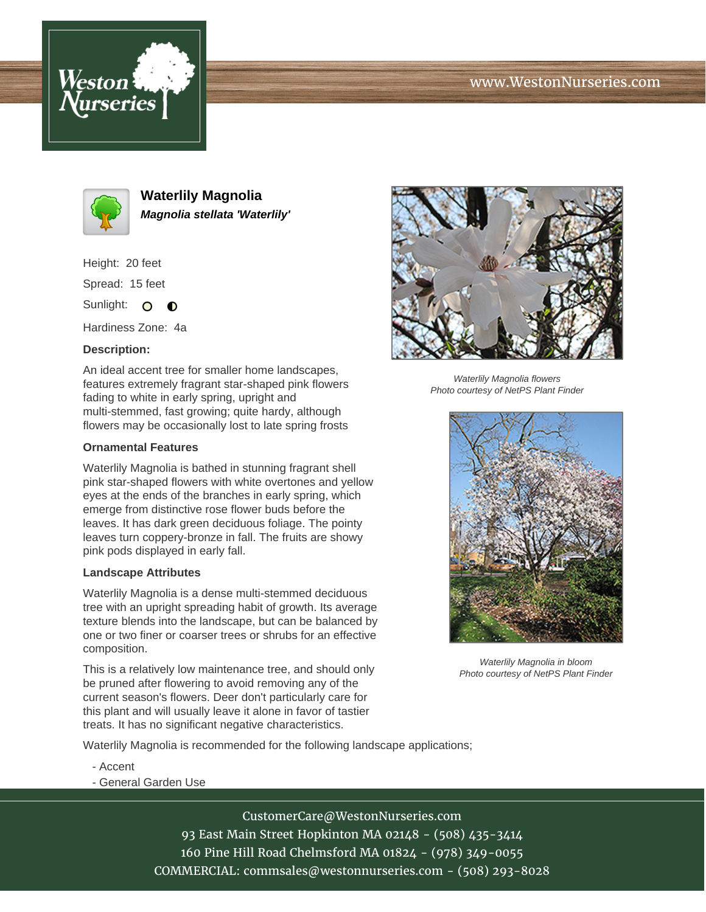





**Waterlily Magnolia Magnolia stellata 'Waterlily'**

Height: 20 feet

Spread: 15 feet

Sunlight: O  $\bullet$ 

Hardiness Zone: 4a

## **Description:**

An ideal accent tree for smaller home landscapes, features extremely fragrant star-shaped pink flowers fading to white in early spring, upright and multi-stemmed, fast growing; quite hardy, although flowers may be occasionally lost to late spring frosts

## **Ornamental Features**

Waterlily Magnolia is bathed in stunning fragrant shell pink star-shaped flowers with white overtones and yellow eyes at the ends of the branches in early spring, which emerge from distinctive rose flower buds before the leaves. It has dark green deciduous foliage. The pointy leaves turn coppery-bronze in fall. The fruits are showy pink pods displayed in early fall.

## **Landscape Attributes**

Waterlily Magnolia is a dense multi-stemmed deciduous tree with an upright spreading habit of growth. Its average texture blends into the landscape, but can be balanced by one or two finer or coarser trees or shrubs for an effective composition.

This is a relatively low maintenance tree, and should only be pruned after flowering to avoid removing any of the current season's flowers. Deer don't particularly care for this plant and will usually leave it alone in favor of tastier treats. It has no significant negative characteristics.

Waterlily Magnolia is recommended for the following landscape applications;

- Accent
- General Garden Use

CustomerCare@WestonNurseries.com 93 East Main Street Hopkinton MA 02148 - (508) 435-3414 160 Pine Hill Road Chelmsford MA 01824 - (978) 349-0055 COMMERCIAL: commsales@westonnurseries.com - (508) 293-8028



Waterlily Magnolia flowers Photo courtesy of NetPS Plant Finder



Waterlily Magnolia in bloom Photo courtesy of NetPS Plant Finder